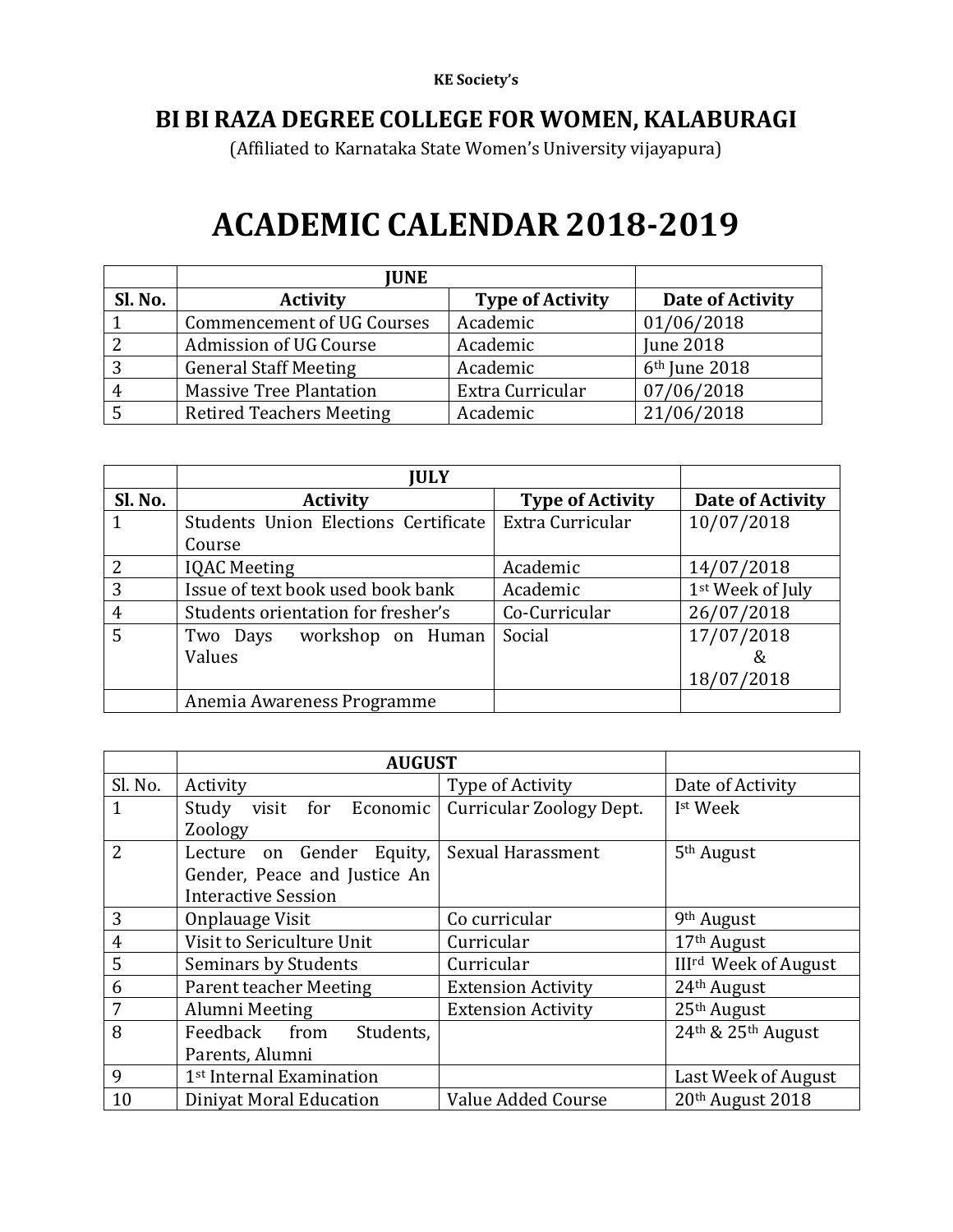## **BI BI RAZA DEGREE COLLEGE FOR WOMEN, KALABURAGI**

(Affiliated to Karnataka State Women's University vijayapura)

## **ACADEMIC CALENDAR 2018-2019**

|         | <b>JUNE</b>                       |                         |                           |
|---------|-----------------------------------|-------------------------|---------------------------|
| Sl. No. | <b>Activity</b>                   | <b>Type of Activity</b> | Date of Activity          |
|         | <b>Commencement of UG Courses</b> | Academic                | 01/06/2018                |
|         | Admission of UG Course            | Academic                | <b>June 2018</b>          |
|         | <b>General Staff Meeting</b>      | Academic                | 6 <sup>th</sup> June 2018 |
|         | <b>Massive Tree Plantation</b>    | Extra Curricular        | 07/06/2018                |
|         | <b>Retired Teachers Meeting</b>   | Academic                | 21/06/2018                |

|               | <b>JULY</b>                          |                         |                  |
|---------------|--------------------------------------|-------------------------|------------------|
| Sl. No.       | <b>Activity</b>                      | <b>Type of Activity</b> | Date of Activity |
|               | Students Union Elections Certificate | Extra Curricular        | 10/07/2018       |
|               | Course                               |                         |                  |
| $\mathcal{L}$ | <b>IQAC</b> Meeting                  | Academic                | 14/07/2018       |
| 3             | Issue of text book used book bank    | Academic                | 1st Week of July |
| 4             | Students orientation for fresher's   | Co-Curricular           | 26/07/2018       |
| 5             | Two Days workshop on Human           | Social                  | 17/07/2018       |
|               | Values                               |                         | &                |
|               |                                      |                         | 18/07/2018       |
|               | Anemia Awareness Programme           |                         |                  |

|                | <b>AUGUST</b>                        |                                 |                                        |
|----------------|--------------------------------------|---------------------------------|----------------------------------------|
| Sl. No.        | Activity                             | Type of Activity                | Date of Activity                       |
| 1              | Study visit for<br>Economic          | <b>Curricular Zoology Dept.</b> | I <sup>st</sup> Week                   |
|                | Zoology                              |                                 |                                        |
| $\overline{2}$ | Lecture on Gender Equity,            | Sexual Harassment               | 5 <sup>th</sup> August                 |
|                | Gender, Peace and Justice An         |                                 |                                        |
|                | <b>Interactive Session</b>           |                                 |                                        |
| 3              | Onplauage Visit                      | Co curricular                   | 9 <sup>th</sup> August                 |
| $\overline{4}$ | Visit to Sericulture Unit            | Curricular                      | 17 <sup>th</sup> August                |
| 5              | Seminars by Students                 | Curricular                      | <b>III<sup>rd</sup></b> Week of August |
| 6              | <b>Parent teacher Meeting</b>        | <b>Extension Activity</b>       | 24 <sup>th</sup> August                |
| 7              | Alumni Meeting                       | <b>Extension Activity</b>       | 25 <sup>th</sup> August                |
| 8              | Feedback from<br>Students,           |                                 | 24th & 25th August                     |
|                | Parents, Alumni                      |                                 |                                        |
| 9              | 1 <sup>st</sup> Internal Examination |                                 | Last Week of August                    |
| 10             | Diniyat Moral Education              | Value Added Course              | 20th August 2018                       |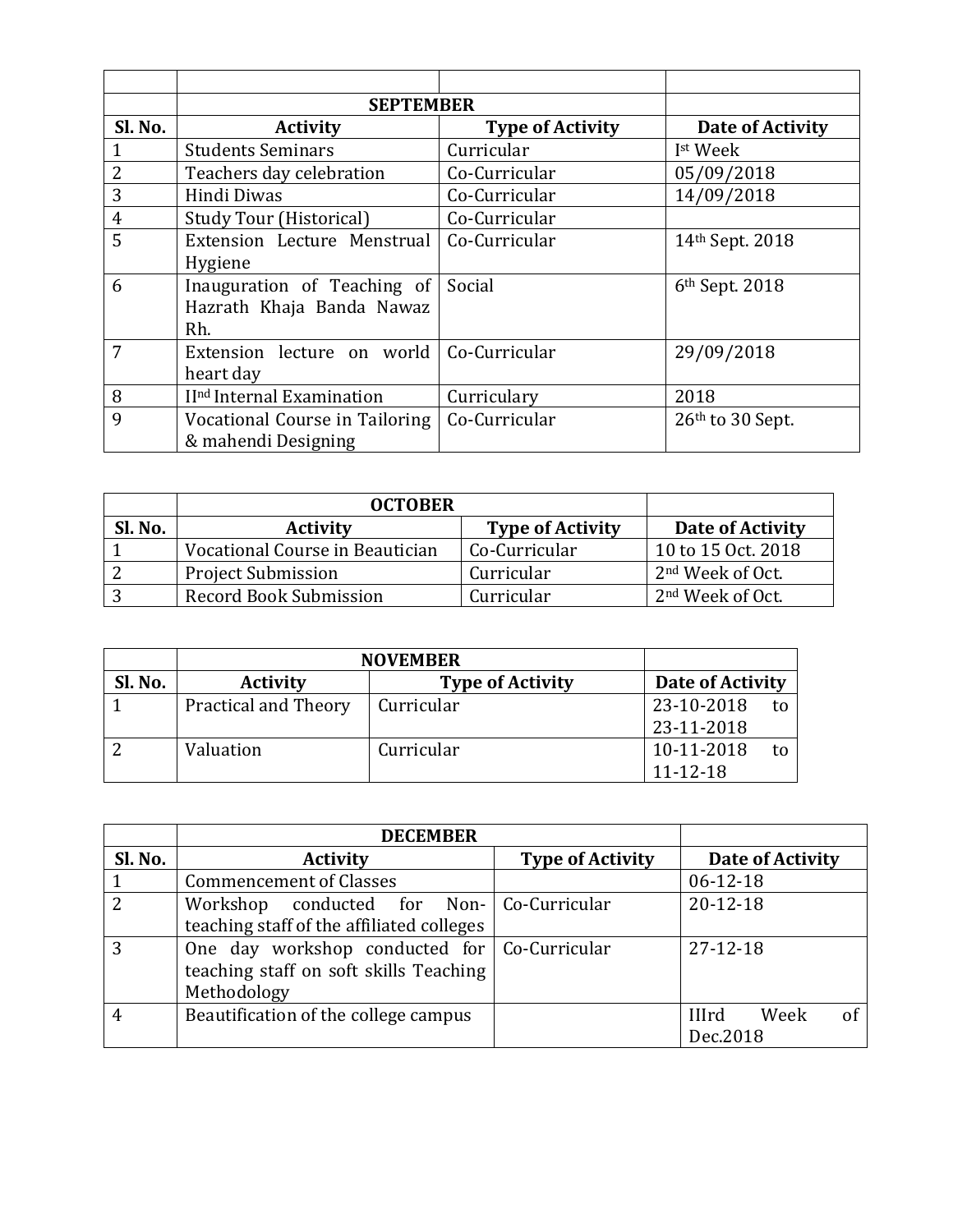|                | <b>SEPTEMBER</b>                      |                         |                            |
|----------------|---------------------------------------|-------------------------|----------------------------|
| Sl. No.        | <b>Activity</b>                       | <b>Type of Activity</b> | Date of Activity           |
|                | <b>Students Seminars</b>              | Curricular              | I <sup>st</sup> Week       |
| $\overline{2}$ | Teachers day celebration              | Co-Curricular           | 05/09/2018                 |
| 3              | Hindi Diwas                           | Co-Curricular           | 14/09/2018                 |
| 4              | <b>Study Tour (Historical)</b>        | Co-Curricular           |                            |
| 5              | Extension Lecture Menstrual           | Co-Curricular           | 14th Sept. 2018            |
|                | Hygiene                               |                         |                            |
| 6              | Inauguration of Teaching of           | Social                  | 6 <sup>th</sup> Sept. 2018 |
|                | Hazrath Khaja Banda Nawaz             |                         |                            |
|                | Rh.                                   |                         |                            |
| 7              | Extension lecture on world            | Co-Curricular           | 29/09/2018                 |
|                | heart day                             |                         |                            |
| 8              | II <sup>nd</sup> Internal Examination | Curriculary             | 2018                       |
| 9              | Vocational Course in Tailoring        | Co-Curricular           | $26th$ to 30 Sept.         |
|                | & mahendi Designing                   |                         |                            |

|         | <b>OCTOBER</b>                             |               |                              |
|---------|--------------------------------------------|---------------|------------------------------|
| Sl. No. | <b>Type of Activity</b><br><b>Activity</b> |               | Date of Activity             |
|         | Vocational Course in Beautician            | Co-Curricular | 10 to 15 Oct. 2018           |
|         | <b>Project Submission</b>                  | Curricular    | 2 <sup>nd</sup> Week of Oct. |
|         | Record Book Submission                     | Curricular    | 2 <sup>nd</sup> Week of Oct. |

|         | <b>NOVEMBER</b>                            |            |                  |
|---------|--------------------------------------------|------------|------------------|
| Sl. No. | <b>Type of Activity</b><br><b>Activity</b> |            | Date of Activity |
|         | <b>Practical and Theory</b>                | Curricular | 23-10-2018<br>tο |
|         |                                            |            | 23-11-2018       |
|         | Valuation                                  | Curricular | 10-11-2018<br>to |
|         |                                            |            | $11 - 12 - 18$   |

|                | <b>DECEMBER</b>                              |                         |                            |
|----------------|----------------------------------------------|-------------------------|----------------------------|
| Sl. No.        | <b>Activity</b>                              | <b>Type of Activity</b> | Date of Activity           |
|                | <b>Commencement of Classes</b>               |                         | $06-12-18$                 |
| $\overline{2}$ | Workshop conducted for Non- Co-Curricular    |                         | $20 - 12 - 18$             |
|                | teaching staff of the affiliated colleges    |                         |                            |
| 3              | One day workshop conducted for Co-Curricular |                         | $27-12-18$                 |
|                | teaching staff on soft skills Teaching       |                         |                            |
|                | Methodology                                  |                         |                            |
|                | Beautification of the college campus         |                         | Week<br>of<br><b>IIIrd</b> |
|                |                                              |                         | Dec.2018                   |